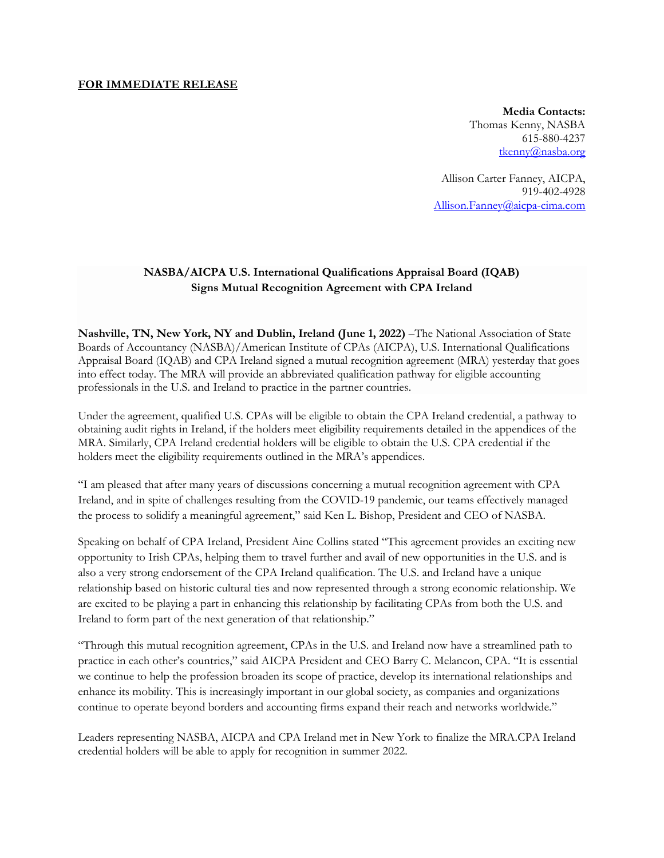#### **FOR IMMEDIATE RELEASE**

**Media Contacts:** Thomas Kenny, NASBA 615-880-4237 [tkenny@nasba.org](mailto:tkenny@nasba.org)

Allison Carter Fanney, AICPA, 919-402-4928 [Allison.Fanney@aicpa-cima.com](mailto:Allison.Fanney@aicpa-cima.com)

# **NASBA/AICPA U.S. International Qualifications Appraisal Board (IQAB) Signs Mutual Recognition Agreement with CPA Ireland**

**Nashville, TN, New York, NY and Dublin, Ireland (June 1, 2022)** –The National Association of State Boards of Accountancy (NASBA)/American Institute of CPAs (AICPA), U.S. International Qualifications Appraisal Board (IQAB) and CPA Ireland signed a mutual recognition agreement (MRA) yesterday that goes into effect today. The MRA will provide an abbreviated qualification pathway for eligible accounting professionals in the U.S. and Ireland to practice in the partner countries.

Under the agreement, qualified U.S. CPAs will be eligible to obtain the CPA Ireland credential, a pathway to obtaining audit rights in Ireland, if the holders meet eligibility requirements detailed in the appendices of the MRA. Similarly, CPA Ireland credential holders will be eligible to obtain the U.S. CPA credential if the holders meet the eligibility requirements outlined in the MRA's appendices.

"I am pleased that after many years of discussions concerning a mutual recognition agreement with CPA Ireland, and in spite of challenges resulting from the COVID-19 pandemic, our teams effectively managed the process to solidify a meaningful agreement," said Ken L. Bishop, President and CEO of NASBA.

Speaking on behalf of CPA Ireland, President Aine Collins stated "This agreement provides an exciting new opportunity to Irish CPAs, helping them to travel further and avail of new opportunities in the U.S. and is also a very strong endorsement of the CPA Ireland qualification. The U.S. and Ireland have a unique relationship based on historic cultural ties and now represented through a strong economic relationship. We are excited to be playing a part in enhancing this relationship by facilitating CPAs from both the U.S. and Ireland to form part of the next generation of that relationship."

"Through this mutual recognition agreement, CPAs in the U.S. and Ireland now have a streamlined path to practice in each other's countries," said AICPA President and CEO Barry C. Melancon, CPA. "It is essential we continue to help the profession broaden its scope of practice, develop its international relationships and enhance its mobility. This is increasingly important in our global society, as companies and organizations continue to operate beyond borders and accounting firms expand their reach and networks worldwide."

Leaders representing NASBA, AICPA and CPA Ireland met in New York to finalize the MRA.CPA Ireland credential holders will be able to apply for recognition in summer 2022.